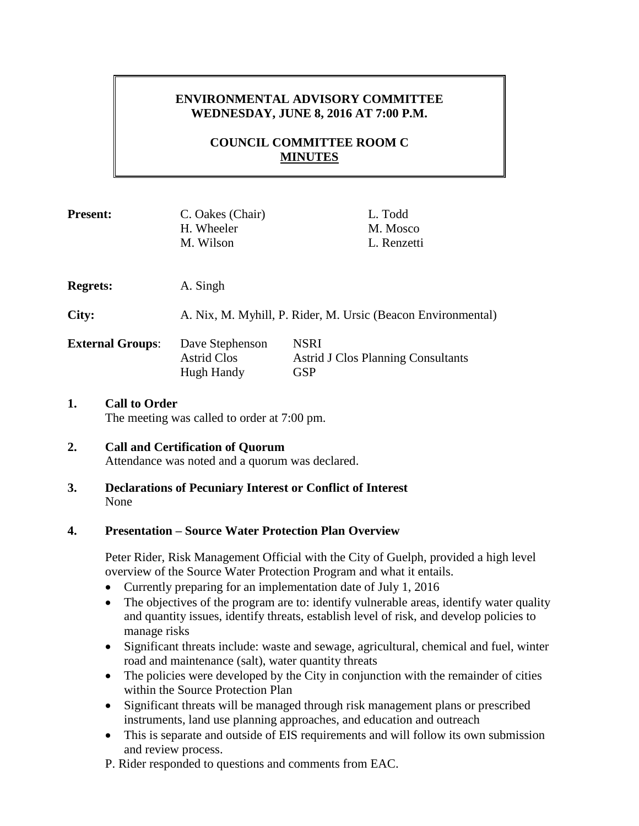# **ENVIRONMENTAL ADVISORY COMMITTEE WEDNESDAY, JUNE 8, 2016 AT 7:00 P.M.**

# **COUNCIL COMMITTEE ROOM C MINUTES**

| <b>Present:</b>         | C. Oakes (Chair)<br>H. Wheeler<br>M. Wilson                  | L. Todd<br>M. Mosco<br>L. Renzetti                                     |
|-------------------------|--------------------------------------------------------------|------------------------------------------------------------------------|
| <b>Regrets:</b>         | A. Singh                                                     |                                                                        |
| City:                   | A. Nix, M. Myhill, P. Rider, M. Ursic (Beacon Environmental) |                                                                        |
| <b>External Groups:</b> | Dave Stephenson<br><b>Astrid Clos</b><br>Hugh Handy          | <b>NSRI</b><br><b>Astrid J Clos Planning Consultants</b><br><b>GSP</b> |
|                         |                                                              |                                                                        |

#### **1. Call to Order** The meeting was called to order at 7:00 pm.

#### **2. Call and Certification of Quorum** Attendance was noted and a quorum was declared.

### **3. Declarations of Pecuniary Interest or Conflict of Interest** None

## **4. Presentation – Source Water Protection Plan Overview**

Peter Rider, Risk Management Official with the City of Guelph, provided a high level overview of the Source Water Protection Program and what it entails.

- Currently preparing for an implementation date of July 1, 2016
- The objectives of the program are to: identify vulnerable areas, identify water quality and quantity issues, identify threats, establish level of risk, and develop policies to manage risks
- Significant threats include: waste and sewage, agricultural, chemical and fuel, winter road and maintenance (salt), water quantity threats
- The policies were developed by the City in conjunction with the remainder of cities within the Source Protection Plan
- Significant threats will be managed through risk management plans or prescribed instruments, land use planning approaches, and education and outreach
- This is separate and outside of EIS requirements and will follow its own submission and review process.
- P. Rider responded to questions and comments from EAC.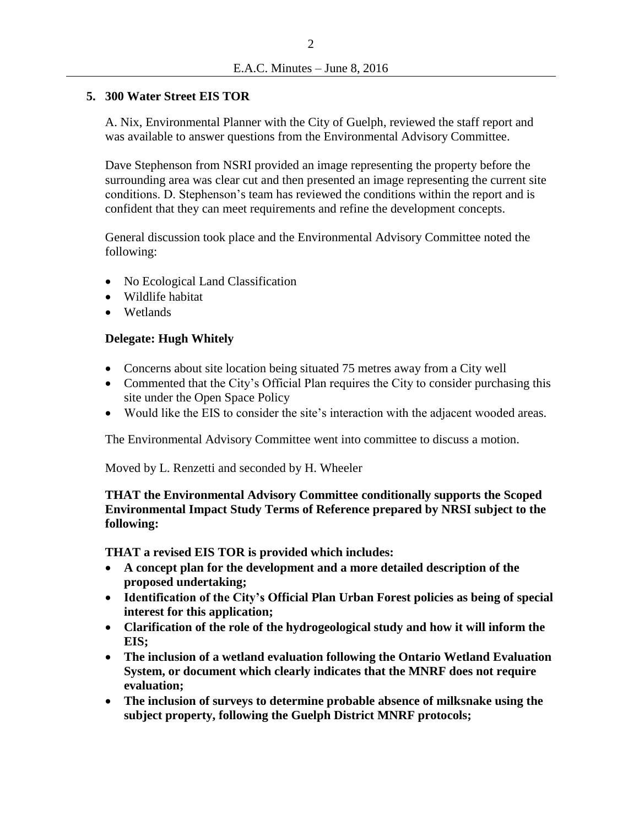## **5. 300 Water Street EIS TOR**

A. Nix, Environmental Planner with the City of Guelph, reviewed the staff report and was available to answer questions from the Environmental Advisory Committee.

Dave Stephenson from NSRI provided an image representing the property before the surrounding area was clear cut and then presented an image representing the current site conditions. D. Stephenson's team has reviewed the conditions within the report and is confident that they can meet requirements and refine the development concepts.

General discussion took place and the Environmental Advisory Committee noted the following:

- No Ecological Land Classification
- Wildlife habitat
- **Wetlands**

## **Delegate: Hugh Whitely**

- Concerns about site location being situated 75 metres away from a City well
- Commented that the City's Official Plan requires the City to consider purchasing this site under the Open Space Policy
- Would like the EIS to consider the site's interaction with the adjacent wooded areas.

The Environmental Advisory Committee went into committee to discuss a motion.

Moved by L. Renzetti and seconded by H. Wheeler

## **THAT the Environmental Advisory Committee conditionally supports the Scoped Environmental Impact Study Terms of Reference prepared by NRSI subject to the following:**

**THAT a revised EIS TOR is provided which includes:**

- **A concept plan for the development and a more detailed description of the proposed undertaking;**
- **Identification of the City's Official Plan Urban Forest policies as being of special interest for this application;**
- **Clarification of the role of the hydrogeological study and how it will inform the EIS;**
- **The inclusion of a wetland evaluation following the Ontario Wetland Evaluation System, or document which clearly indicates that the MNRF does not require evaluation;**
- **The inclusion of surveys to determine probable absence of milksnake using the subject property, following the Guelph District MNRF protocols;**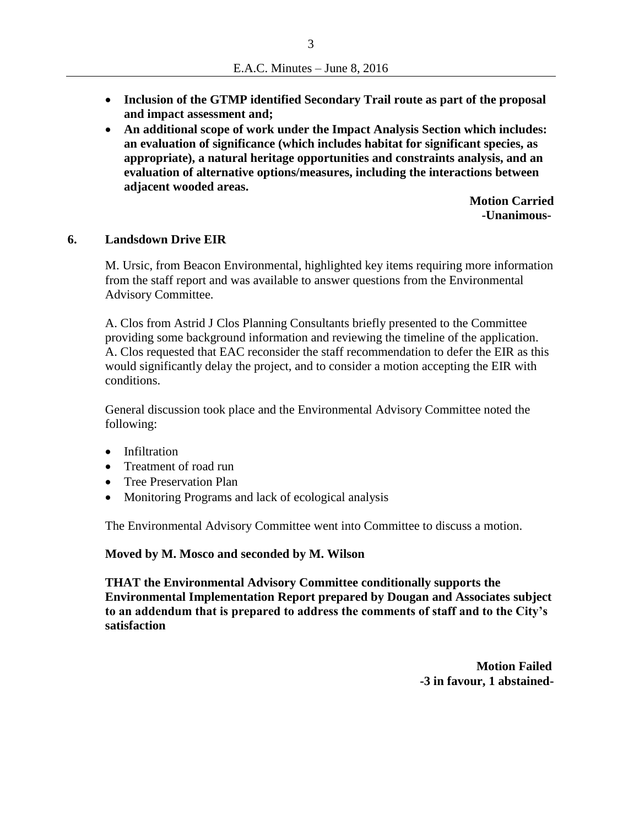- **Inclusion of the GTMP identified Secondary Trail route as part of the proposal and impact assessment and;**
- **An additional scope of work under the Impact Analysis Section which includes: an evaluation of significance (which includes habitat for significant species, as appropriate), a natural heritage opportunities and constraints analysis, and an evaluation of alternative options/measures, including the interactions between adjacent wooded areas.**

 **Motion Carried -Unanimous-**

#### **6. Landsdown Drive EIR**

M. Ursic, from Beacon Environmental, highlighted key items requiring more information from the staff report and was available to answer questions from the Environmental Advisory Committee.

A. Clos from Astrid J Clos Planning Consultants briefly presented to the Committee providing some background information and reviewing the timeline of the application. A. Clos requested that EAC reconsider the staff recommendation to defer the EIR as this would significantly delay the project, and to consider a motion accepting the EIR with conditions.

General discussion took place and the Environmental Advisory Committee noted the following:

- Infiltration
- Treatment of road run
- Tree Preservation Plan
- Monitoring Programs and lack of ecological analysis

The Environmental Advisory Committee went into Committee to discuss a motion.

**Moved by M. Mosco and seconded by M. Wilson**

**THAT the Environmental Advisory Committee conditionally supports the Environmental Implementation Report prepared by Dougan and Associates subject to an addendum that is prepared to address the comments of staff and to the City's satisfaction**

> **Motion Failed -3 in favour, 1 abstained-**